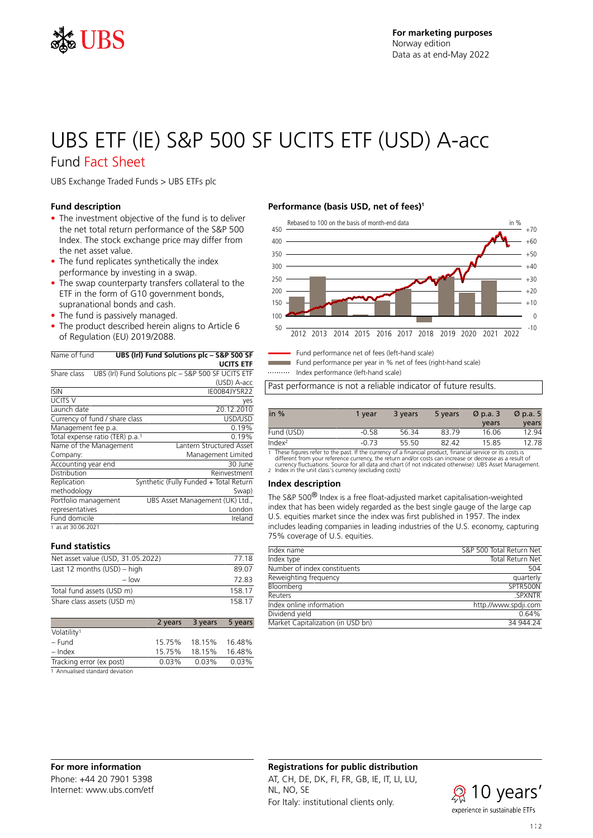

# UBS ETF (IE) S&P 500 SF UCITS ETF (USD) A-acc

## Fund Fact Sheet

UBS Exchange Traded Funds > UBS ETFs plc

## **Fund description**

- The investment objective of the fund is to deliver the net total return performance of the S&P 500 Index. The stock exchange price may differ from the net asset value.
- The fund replicates synthetically the index performance by investing in a swap.
- The swap counterparty transfers collateral to the ETF in the form of G10 government bonds, supranational bonds and cash.
- The fund is passively managed.
- The product described herein aligns to Article 6 of Regulation (EU) 2019/2088.

| Name of fund                                | UBS (Irl) Fund Solutions plc – S&P 500 SF           |
|---------------------------------------------|-----------------------------------------------------|
|                                             | <b>UCITS ETF</b>                                    |
| Share class                                 | UBS (Irl) Fund Solutions plc - S&P 500 SF UCITS ETF |
|                                             | (USD) A-acc                                         |
| <b>ISIN</b>                                 | IF00B4JY5R22                                        |
| <b>UCITS V</b>                              | yes                                                 |
| Launch date                                 | 20.12.2010                                          |
| Currency of fund / share class              | USD/USD                                             |
| Management fee p.a.                         | 0.19%                                               |
| Total expense ratio (TER) p.a. <sup>1</sup> | 0.19%                                               |
| Name of the Management                      | Lantern Structured Asset                            |
| Company:                                    | Management Limited                                  |
| Accounting year end                         | 30 June                                             |
| Distribution                                | Reinvestment                                        |
| Replication                                 | Synthetic (Fully Funded + Total Return              |
| methodology                                 | Swap)                                               |
| Portfolio management                        | UBS Asset Management (UK) Ltd.,                     |
| representatives                             | London                                              |
| Fund domicile                               | Ireland                                             |
| 1 as at 30.06.2021                          |                                                     |

## **Fund statistics**

| Net asset value (USD, 31.05.2022) | 77 18  |
|-----------------------------------|--------|
| Last 12 months $(USD)$ – high     | 89.07  |
| $-$ low                           | 72.83  |
| Total fund assets (USD m)         | 158 17 |
| Share class assets (USD m)        | 158 17 |

|                          | 2 years | 3 years | 5 years |
|--------------------------|---------|---------|---------|
| Volatility <sup>1</sup>  |         |         |         |
| – Fund                   | 15.75%  | 18.15%  | 16.48%  |
| $-$ Index                | 15.75%  | 18.15%  | 16.48%  |
| Tracking error (ex post) | 0.03%   | 0.03%   | 0.03%   |
| .                        |         |         |         |

1 Annualised standard deviation

## **Performance (basis USD, net of fees)<sup>1</sup>**



Fund performance net of fees (left-hand scale)

Fund performance per year in % net of fees (right-hand scale) Index performance (left-hand scale)

Past performance is not a reliable indicator of future results.

| in $%$             | 1 year  | 3 years | 5 years | $\varnothing$ p.a. 3 | $\varnothing$ p.a. 5 |
|--------------------|---------|---------|---------|----------------------|----------------------|
|                    |         |         |         | years                | years                |
| Fund (USD)         | $-0.58$ | 56.34   | 83.79   | 16.06                | 12.94                |
| Index <sup>2</sup> | $-0.73$ | 55 50   | 82.42   | 15.85                | 12.78                |

1 These figures refer to the past. If the currency of a financial product, financial service or its costs is<br>different from your reference currency, the return and/or costs can increase or decrease as a result of<br>currency

#### **Index description**

The S&P 500® Index is a free float-adjusted market capitalisation-weighted index that has been widely regarded as the best single gauge of the large cap U.S. equities market since the index was first published in 1957. The index includes leading companies in leading industries of the U.S. economy, capturing 75% coverage of U.S. equities.

| S&P 500 Total Return Net |
|--------------------------|
| Total Return Net         |
| 504                      |
| quarterly                |
| SPTR500N                 |
| <b>SPXNTR</b>            |
| http.//www.spdji.com     |
| 0.64%                    |
| 34 944 24                |
|                          |

## **Registrations for public distribution**

AT, CH, DE, DK, FI, FR, GB, IE, IT, LI, LU, NL, NO, SE For Italy: institutional clients only.